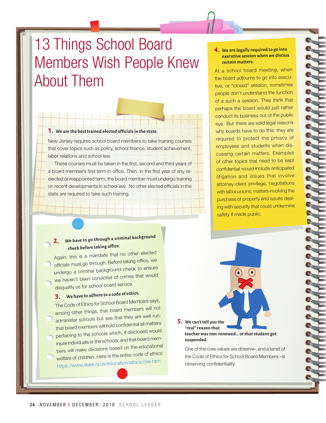# 13 Things School Board Members Wish People Knew About Them

#### **1. We are the best trained elected officialsin the state.**

New Jersey requires school board members to take training courses that cover topics such as policy, school finance, student achievement, labor relations and school law.

These courses must be taken in the first, second and third years of a board member's first term in office. Then, in the first year of any reelected or reappointed term, the board member must undergo training on recent developments in school law. No other elected officials in the state are required to take such training.

### **2. We have to go through a criminal backgroun<sup>d</sup> check before taking office.**

Again, this is a mandate that no other elected officials must go through. Before taking office, we undergo a criminal background check to ensure we haven't been convicted of crimes that would disqualify us for school board service.

## **3. We have to adhere to <sup>a</sup> code of ethics.**

The Code of Ethics for School Board Members says, among other things, that board members will not administer schools but see that they are well-run; that board members will hold confidential all matters pertaining to the schools which, if disclosed would injure individuals or the schools; and that board members will make decisions based on the educational welfare of children. Here is the entire code of ethics: https://www.state.nj.us/education/ethics/coe.htm

#### **4. We are legally required to go into executive session when we discuss certain matters.**

At a school board meeting, when the board adjourns to go into executive, or "closed" session, sometimes people don't understand the function of a such a session. They think that perhaps the board would just rather conduct its business out of the public eye. But there are solid legal reasons why boards have to do this: they are required to protect the privacy of employees and students when discussing certain matters. Examples of other topics that need to be kept confidential would include anticipated litigation and issues that involve attorney-client privilege, negotiations with labor unions; matters involving the purchase of property and issues dealing with security that could undermine safety if made public.

**5. We can't tell you the "real" reason that teacher was non-renewed… or that student got suspended.**

One of the core values we observe– and a tenet of the Code of Ethics for School Board Members –is observing confidentiality.